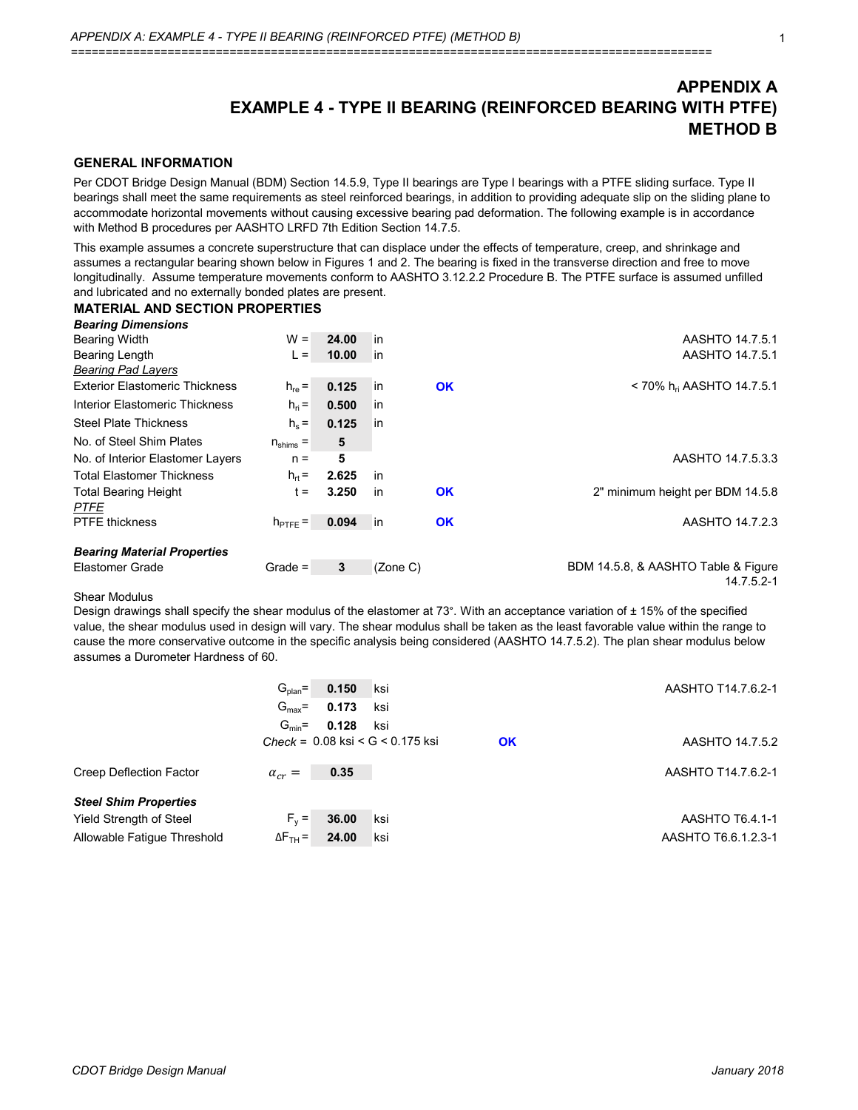# **APPENDIX A EXAMPLE 4 - TYPE II BEARING (REINFORCED BEARING WITH PTFE) METHOD B**

## **GENERAL INFORMATION**

Per CDOT Bridge Design Manual (BDM) Section 14.5.9, Type II bearings are Type I bearings with a PTFE sliding surface. Type II bearings shall meet the same requirements as steel reinforced bearings, in addition to providing adequate slip on the sliding plane to accommodate horizontal movements without causing excessive bearing pad deformation. The following example is in accordance with Method B procedures per AASHTO LRFD 7th Edition Section 14.7.5.

This example assumes a concrete superstructure that can displace under the effects of temperature, creep, and shrinkage and assumes a rectangular bearing shown below in Figures 1 and 2. The bearing is fixed in the transverse direction and free to move longitudinally. Assume temperature movements conform to AASHTO 3.12.2.2 Procedure B. The PTFE surface is assumed unfilled and lubricated and no externally bonded plates are present.

## **MATERIAL AND SECTION PROPERTIES**

| <b>Bearing Dimensions</b>                  |                      |       |          |           |                                         |
|--------------------------------------------|----------------------|-------|----------|-----------|-----------------------------------------|
| <b>Bearing Width</b>                       | $W =$                | 24.00 | in       |           | AASHTO 14.7.5.1                         |
| Bearing Length                             | $L =$                | 10.00 | in       |           | AASHTO 14.7.5.1                         |
| <b>Bearing Pad Layers</b>                  |                      |       |          |           |                                         |
| <b>Exterior Elastomeric Thickness</b>      | $h_{\text{re}} =$    | 0.125 | lin      | <b>OK</b> | $<$ 70% h <sub>ri</sub> AASHTO 14.7.5.1 |
| Interior Elastomeric Thickness             | $h_{ri} =$           | 0.500 | in       |           |                                         |
| <b>Steel Plate Thickness</b>               | $h_s =$              | 0.125 | in       |           |                                         |
| No. of Steel Shim Plates                   | $n_{\text{shims}} =$ | 5     |          |           |                                         |
| No. of Interior Elastomer Layers           | $n =$                | 5     |          |           | AASHTO 14.7.5.3.3                       |
| <b>Total Elastomer Thickness</b>           | $h_{rt} =$           | 2.625 | in       |           |                                         |
| <b>Total Bearing Height</b><br><b>PTFE</b> | $t =$                | 3.250 | in       | <b>OK</b> | 2" minimum height per BDM 14.5.8        |
| <b>PTFE thickness</b>                      | $h_{\text{PTFE}} =$  | 0.094 | in       | <b>OK</b> | AASHTO 14.7.2.3                         |
| <b>Bearing Material Properties</b>         |                      |       |          |           |                                         |
| Elastomer Grade                            | Grade $=$            | 3     | (Zone C) |           | BDM 14.5.8, & AASHTO Table & Figure     |
|                                            |                      |       |          |           | 14.7.5.2-1                              |

#### Shear Modulus

Design drawings shall specify the shear modulus of the elastomer at 73°. With an acceptance variation of ± 15% of the specified value, the shear modulus used in design will vary. The shear modulus shall be taken as the least favorable value within the range to cause the more conservative outcome in the specific analysis being considered (AASHTO 14.7.5.2). The plan shear modulus below assumes a Durometer Hardness of 60.

|                              | $G_{plan}$ =<br>$G_{\text{max}} =$ | 0.150<br>0.173 | ksi<br>ksi                                 | AASHTO T14.7.6.2-1  |
|------------------------------|------------------------------------|----------------|--------------------------------------------|---------------------|
|                              | $G_{\min}$ =                       | 0.128          | ksi                                        |                     |
|                              |                                    |                | $Check = 0.08$ ksi < $G < 0.175$ ksi<br>OK | AASHTO 14.7.5.2     |
| Creep Deflection Factor      | $\alpha_{cr} =$                    | 0.35           |                                            | AASHTO T14.7.6.2-1  |
| <b>Steel Shim Properties</b> |                                    |                |                                            |                     |
| Yield Strength of Steel      | $F_v =$                            | 36.00          | ksi                                        | AASHTO T6.4.1-1     |
| Allowable Fatigue Threshold  | $\Delta F$ <sub>TH</sub> =         | 24.00          | ksi                                        | AASHTO T6.6.1.2.3-1 |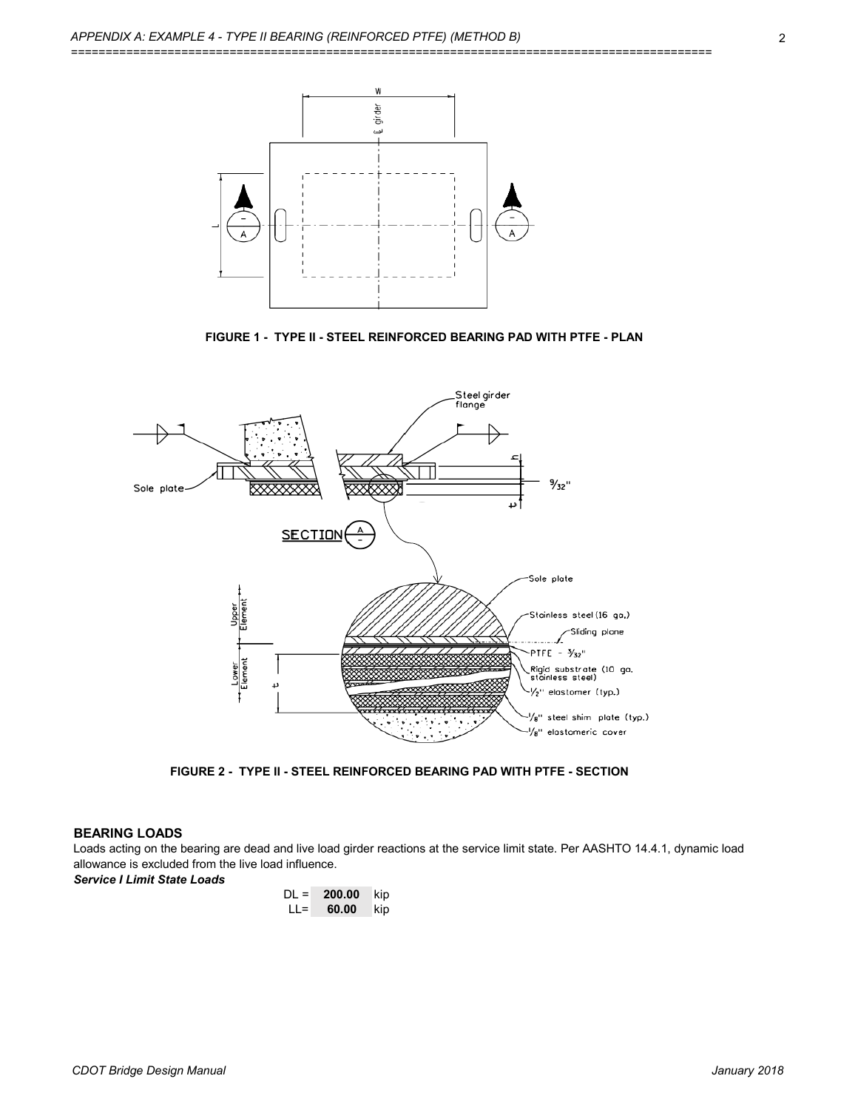

**FIGURE 1 - TYPE II - STEEL REINFORCED BEARING PAD WITH PTFE - PLAN**



**FIGURE 2 - TYPE II - STEEL REINFORCED BEARING PAD WITH PTFE - SECTION**

### **BEARING LOADS**

Loads acting on the bearing are dead and live load girder reactions at the service limit state. Per AASHTO 14.4.1, dynamic load allowance is excluded from the live load influence.

*Service I Limit State Loads*

| DL = | 200.00 | kip |
|------|--------|-----|
| LL=  | 60.00  | kip |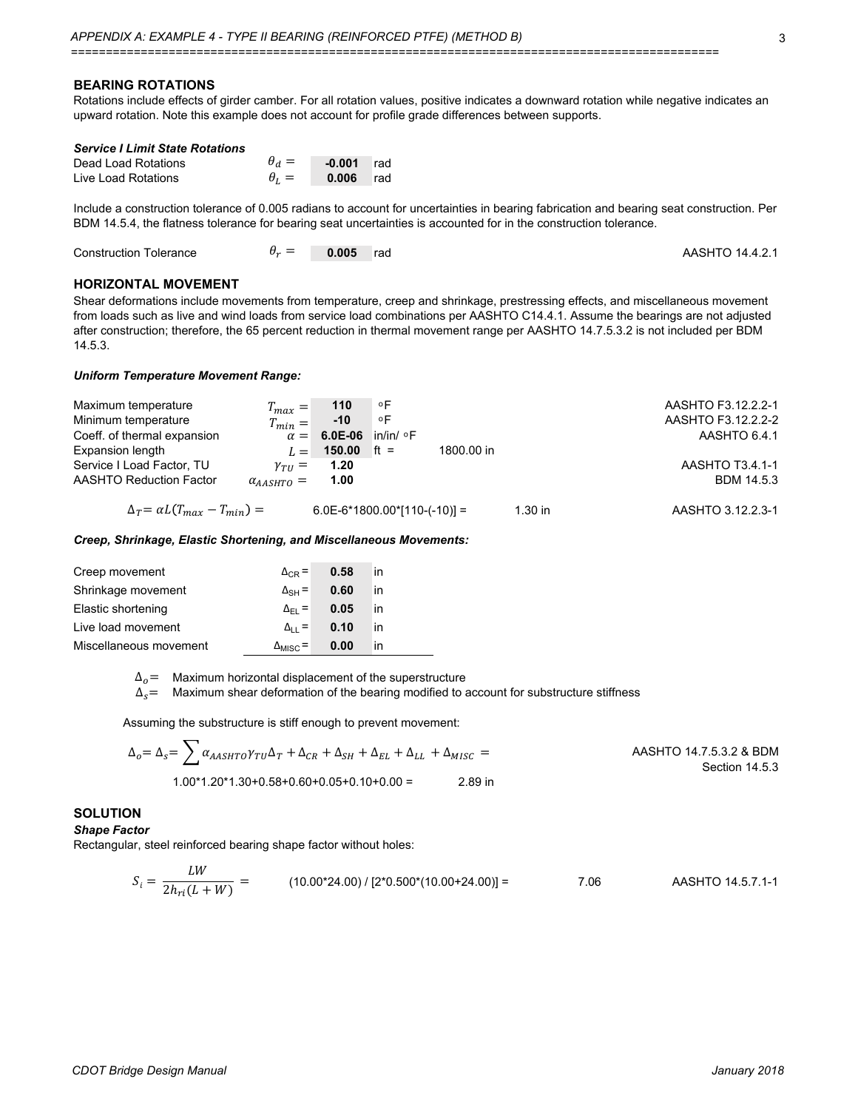#### **BEARING ROTATIONS**

Rotations include effects of girder camber. For all rotation values, positive indicates a downward rotation while negative indicates an upward rotation. Note this example does not account for profile grade differences between supports.

| <b>Service I Limit State Rotations</b> |              |              |     |
|----------------------------------------|--------------|--------------|-----|
| Dead Load Rotations                    | $\theta_d =$ | $-0.001$ rad |     |
| Live Load Rotations                    | $\theta_I =$ | 0.006        | rad |

Include a construction tolerance of 0.005 radians to account for uncertainties in bearing fabrication and bearing seat construction. Per BDM 14.5.4, the flatness tolerance for bearing seat uncertainties is accounted for in the construction tolerance.

| <b>Construction Tolerance</b> | $U_{\mathcal{P}}$ $-$ | 0.005 | rad rad | AASHTO 14.4.2.1 |
|-------------------------------|-----------------------|-------|---------|-----------------|
|-------------------------------|-----------------------|-------|---------|-----------------|

## **HORIZONTAL MOVEMENT**

Shear deformations include movements from temperature, creep and shrinkage, prestressing effects, and miscellaneous movement from loads such as live and wind loads from service load combinations per AASHTO C14.4.1. Assume the bearings are not adjusted after construction; therefore, the 65 percent reduction in thermal movement range per AASHTO 14.7.5.3.2 is not included per BDM 14.5.3.

#### *Uniform Temperature Movement Range:*

| Maximum temperature                         | $T_{max} =$              | 110                  | ∘F                             |           | AASHTO F3.12.2.2-1 |
|---------------------------------------------|--------------------------|----------------------|--------------------------------|-----------|--------------------|
| Minimum temperature                         | $T_{min} =$              | $-10$                | ۰F                             |           | AASHTO F3.12.2.2-2 |
| Coeff. of thermal expansion                 |                          | $\alpha = 6.0E - 06$ | $in/in/$ $\circ$ F             |           | AASHTO 6.4.1       |
| Expansion length                            |                          | $L = 150.00$ ft =    | 1800.00 in                     |           |                    |
| Service I Load Factor, TU                   | $\gamma_{\tau II} =$     | 1.20                 |                                |           | AASHTO T3.4.1-1    |
| AASHTO Reduction Factor                     | $\alpha_{AASHTO} = 1.00$ |                      |                                |           | <b>BDM 14.5.3</b>  |
| $\Delta_T = \alpha L (T_{max} - T_{min}) =$ |                          |                      | $6.0E-6*1800.00*[110-(-10)] =$ | $1.30$ in | AASHTO 3.12.2.3-1  |

#### *Creep, Shrinkage, Elastic Shortening, and Miscellaneous Movements:*

| Creep movement         | $\Delta_{CR}$ =          | 0.58 | in  |  |
|------------------------|--------------------------|------|-----|--|
| Shrinkage movement     | $\Delta$ <sub>SH</sub> = | 0.60 | in. |  |
| Elastic shortening     | $\Delta_{\text{FI}}$ =   | 0.05 | in  |  |
| Live load movement     | $\Delta_{11}$ =          | 0.10 | in  |  |
| Miscellaneous movement | $\Delta_{MISC}$ =        | 0.00 | ın  |  |

 $\Delta_o{=}$  Maximum horizontal displacement of the superstructure

 $\Delta_{\mathcal{S}}{=}\;$  Maximum shear deformation of the bearing modified to account for substructure stiffness

Assuming the substructure is stiff enough to prevent movement:

$$
\Delta_0 = \Delta_s = \sum \alpha_{AASHTO} \gamma_{TU} \Delta_T + \Delta_{CR} + \Delta_{SH} + \Delta_{EL} + \Delta_{LL} + \Delta_{MISC} =
$$
\nAASHTO 14.7.5.3.2 & BDM  
\nSection 14.5.3  
\n1.00\*1.20\*1.30+0.58+0.60+0.05+0.10+0.00 = 2.89 in

### **SOLUTION**

#### *Shape Factor*

Rectangular, steel reinforced bearing shape factor without holes:

$$
S_i = \frac{LW}{2h_{ri}(L+W)} = \qquad (10.00*24.00) / [2*0.500*(10.00+24.00)] = \qquad 7.06 \qquad \text{AASHTO 14.5.7.1-1}
$$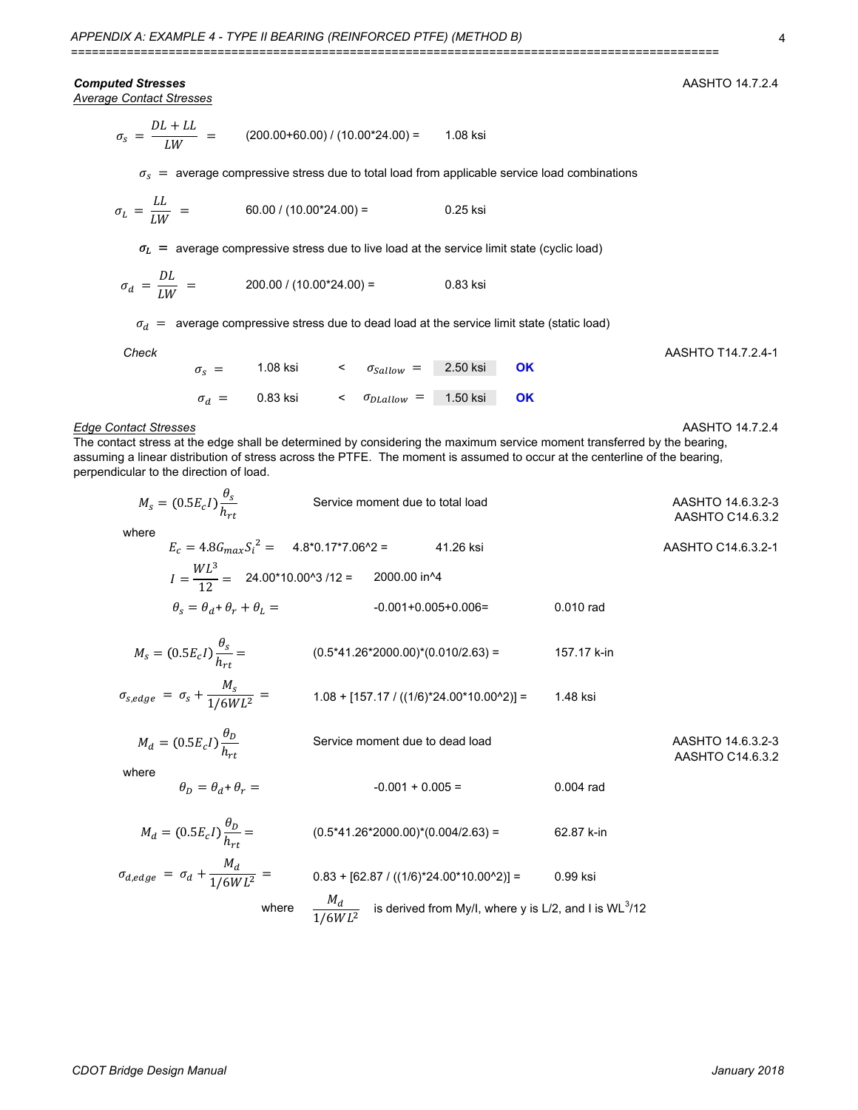## *Computed Stresses* AASHTO 14.7.2.4

*Average Contact Stresses*

$$
\sigma_{s} = \frac{DL + LL}{LW} = (200.00 + 60.00) / (10.00 * 24.00) = 1.08 \text{ ksi}
$$

 $\sigma_{\rm s}~=~$  average compressive stress due to total load from applicable service load combinations

$$
\sigma_L = \frac{LL}{LW} = 60.00 / (10.00^*24.00) = 0.25 \text{ ksi}
$$

 $\sigma_{L}$   $\,=\,$  average compressive stress due to live load at the service limit state (cyclic load)

$$
\sigma_d = \frac{DL}{LW} = 200.00 / (10.00^*24.00) = 0.83 \text{ ksi}
$$

 $\sigma_d$   $\,=\,$  average compressive stress due to dead load at the service limit state (static load)

| Check |                       |          |                                             |  | AASHTO T14.7.2.4-1 |
|-------|-----------------------|----------|---------------------------------------------|--|--------------------|
|       | $\sigma_{\rm c} =$    | 1.08 ksi | $\epsilon$ $\sigma_{Sallow}$ = 2.50 ksi OK  |  |                    |
|       |                       |          |                                             |  |                    |
|       | $\sigma_d = 0.83$ ksi |          | $\epsilon$ $\sigma_{DLallow}$ = 1.50 ksi OK |  |                    |

#### *Edge Contact Stresses* AASHTO 14.7.2.4

The contact stress at the edge shall be determined by considering the maximum service moment transferred by the bearing, assuming a linear distribution of stress across the PTFE. The moment is assumed to occur at the centerline of the bearing, perpendicular to the direction of load.

| $M_s = (0.5E_c I) \frac{\theta_s}{h}$                | Service moment due to total load                          |             | AASHTO 14.6.3.2-3<br>AASHTO C14.6.3.2 |
|------------------------------------------------------|-----------------------------------------------------------|-------------|---------------------------------------|
| where                                                | $E_c = 4.8 G_{max} S_i^2 = 4.8*0.17*7.06^2 = 41.26$ ksi   |             | AASHTO C14.6.3.2-1                    |
|                                                      | $I = \frac{WL^3}{12} = 24.00*10.00^3$ /12 = 2000.00 in ^4 |             |                                       |
| $\theta_s = \theta_d + \theta_r + \theta_L =$        | $-0.001 + 0.005 + 0.006 =$                                | 0.010 rad   |                                       |
| $M_s = (0.5E_c I) \frac{\theta_s}{h_{\text{at}}} =$  | $(0.5*41.26*2000.00)*(0.010/2.63) =$                      | 157.17 k-in |                                       |
| $\sigma_{s,edge} = \sigma_s + \frac{M_s}{1/6WL^2} =$ | $1.08 + [157.17 / ((1/6)^*24.00^*10.00^*2)] =$            | 1.48 ksi    |                                       |
| $M_d = (0.5E_c I) \frac{\theta_D}{h_{\text{tot}}}$   | Service moment due to dead load                           |             | AASHTO 14.6.3.2-3<br>AASHTO C14.6.3.2 |
| where<br>$\theta_{D} = \theta_{d} + \theta_{r} =$    | $-0.001 + 0.005 =$                                        | $0.004$ rad |                                       |
| $M_d = (0.5E_c I) \frac{\theta_D}{h_{\text{at}}} =$  | $(0.5*41.26*2000.00)*(0.004/2.63) =$                      | 62.87 k-in  |                                       |
| $\sigma_{d,edge} = \sigma_d + \frac{M_d}{1/6WL^2} =$ | $0.83 + [62.87 / ((1/6)^*24.00^*10.00^*2)] =$             | 0.99 ksi    |                                       |

where 
$$
\frac{M_d}{1/6WL^2}
$$
 is derived from My/l, where y is L/2, and I is WL<sup>3</sup>/12

*CDOT Bridge Design Manual January 2018*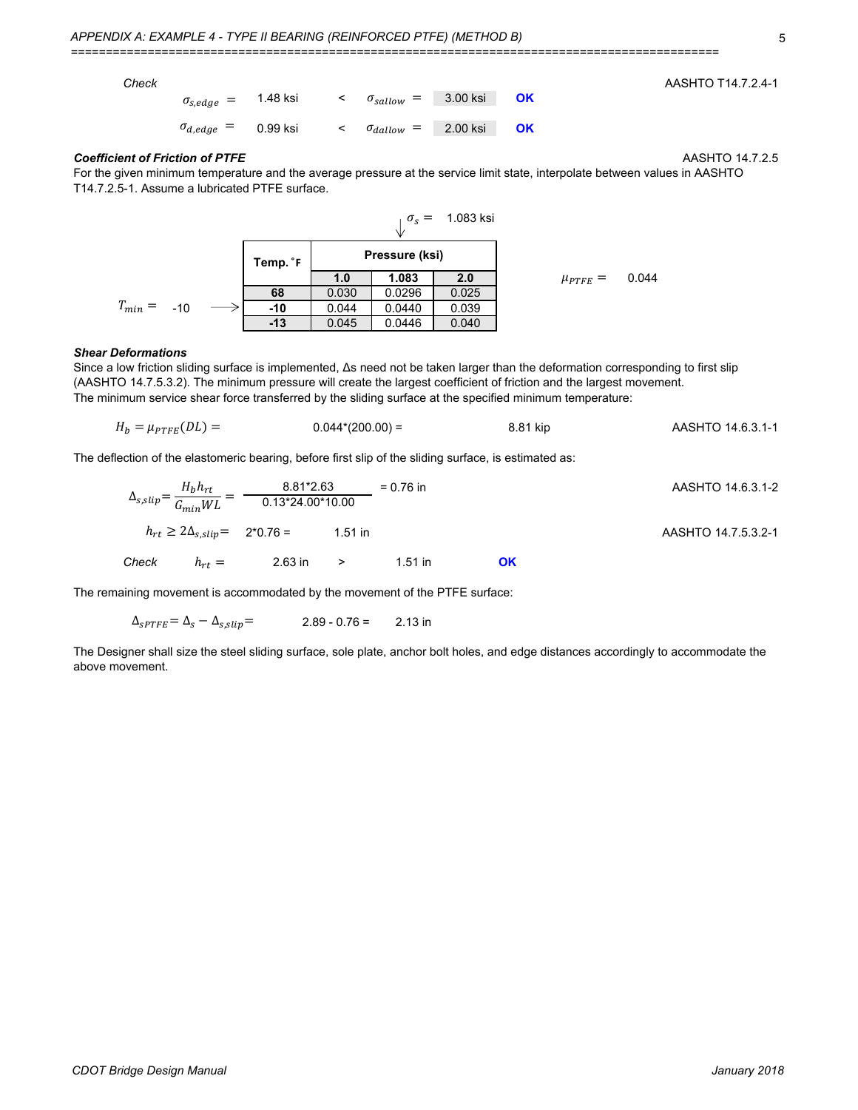| Check |                                            |          |                                         |           | AASHTO T14.7.2.4-1 |
|-------|--------------------------------------------|----------|-----------------------------------------|-----------|--------------------|
|       | $\sigma_{s,edge}$ = $\phantom{0}$ 1.48 ksi |          | $\epsilon$ $\sigma_{sallow}$ = 3.00 ksi | <b>OK</b> |                    |
|       | $\sigma_{d,edge} =$                        | 0.99 ksi | $\epsilon$ $\sigma_{dallow}$ = 2.00 ksi | <b>OK</b> |                    |

#### *Coefficient of Friction of PTFE* AASHTO 14.7.2.5

For the given minimum temperature and the average pressure at the service limit state, interpolate between values in AASHTO T14.7.2.5-1. Assume a lubricated PTFE surface.



#### *Shear Deformations*

The minimum service shear force transferred by the sliding surface at the specified minimum temperature: Since a low friction sliding surface is implemented, Δs need not be taken larger than the deformation corresponding to first slip (AASHTO 14.7.5.3.2). The minimum pressure will create the largest coefficient of friction and the largest movement.

$$
H_b = \mu_{PTFE}(DL) = 0.044*(200.00) = 8.81 \text{ kip}
$$
 AASHTO 14.6.3.1-1

The deflection of the elastomeric bearing, before first slip of the sliding surface, is estimated as:

$$
\Delta_{s,slip} = \frac{H_b h_{rt}}{G_{min} WL} = \frac{8.81*2.63}{0.13*24.00*10.00} = 0.76 \text{ in}
$$
\n
$$
h_{rt} \ge 2\Delta_{s,slip} = 2*0.76 = 1.51 \text{ in}
$$
\n
$$
AASHTO 14.6.3.1-2
$$
\n
$$
h_{rt} \ge 2\Delta_{s,slip} = 2*0.76 = 1.51 \text{ in}
$$
\n
$$
AASHTO 14.7.5.3.2-1
$$
\n
$$
c
$$

The remaining movement is accommodated by the movement of the PTFE surface:

 $\Delta_{\text{SPTFE}} = \Delta_{\text{s}} - \Delta_{\text{s,slip}} =$  2.89 - 0.76 = 2.13 in

The Designer shall size the steel sliding surface, sole plate, anchor bolt holes, and edge distances accordingly to accommodate the above movement.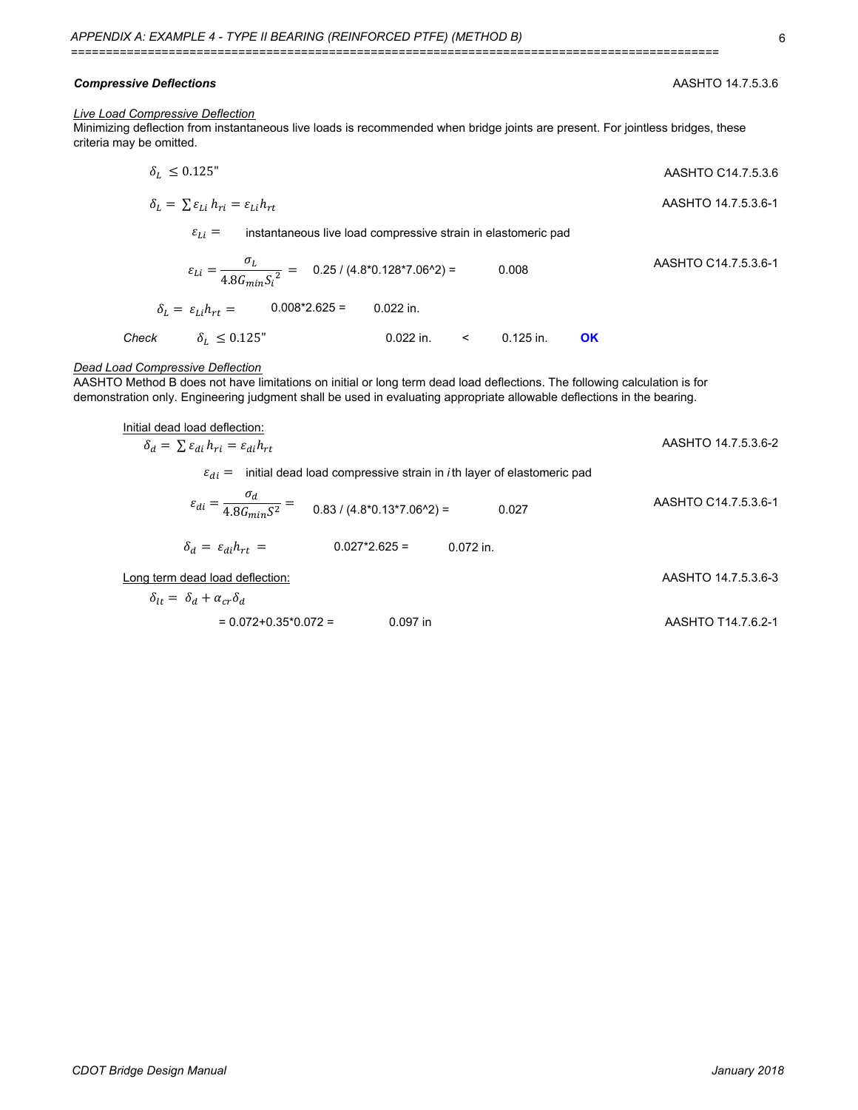#### *Compressive Deflections* AASHTO 14.7.5.3.6

#### *Live Load Compressive Deflection*

Minimizing deflection from instantaneous live loads is recommended when bridge joints are present. For jointless bridges, these criteria may be omitted.

$$
\delta_L \leq 0.125
$$
"  
AASHTO C14.7.5.3.6

$$
\delta_L = \sum \varepsilon_{Li} h_{ri} = \varepsilon_{Li} h_{rt}
$$
 AASHTO 14.7.5.3.6-1

instantaneous live load compressive strain in elastomeric pad  $\varepsilon_{Li} =$ 

$$
\varepsilon_{Li} = \frac{\sigma_L}{4.8G_{min}S_i^2} = 0.25 / (4.8^*0.128^*7.06^*2) = 0.008
$$
 AASHTO C14.7.5.3.6-1  
\n
$$
\delta_L = \varepsilon_{Li}h_{rt} = 0.008^*2.625 = 0.022 \text{ in.}
$$
  
\nCheck  $\delta_L \leq 0.125^{\circ}$  0.022 in.  $\leq 0.125 \text{ in.}$  OK

## *Dead Load Compressive Deflection*

AASHTO Method B does not have limitations on initial or long term dead load deflections. The following calculation is for demonstration only. Engineering judgment shall be used in evaluating appropriate allowable deflections in the bearing.

| Initial dead load deflection:                                                                        |                      |
|------------------------------------------------------------------------------------------------------|----------------------|
| $\delta_d = \sum \varepsilon_{di} h_{ri} = \varepsilon_{di} h_{rt}$                                  | AASHTO 14.7.5.3.6-2  |
| initial dead load compressive strain in <i>i</i> th layer of elastomeric pad<br>$\varepsilon_{di} =$ |                      |
| $\varepsilon_{di} = \frac{\sigma_d}{4.8G_{min}S^2} = 0.83/(4.8*0.13*7.06^2) =$<br>0.027              | AASHTO C14.7.5.3.6-1 |
| $\delta_d = \varepsilon_{di} h_{rt} =$<br>$0.027*2.625=$<br>$0.072$ in.                              |                      |
| Long term dead load deflection:                                                                      | AASHTO 14.7.5.3.6-3  |
| $\delta_{1t} = \delta_d + \alpha_{cr} \delta_d$                                                      |                      |
| $= 0.072 + 0.35 \times 0.072 =$<br>$0.097$ in                                                        | AASHTO T14.7.6.2-1   |
|                                                                                                      |                      |

6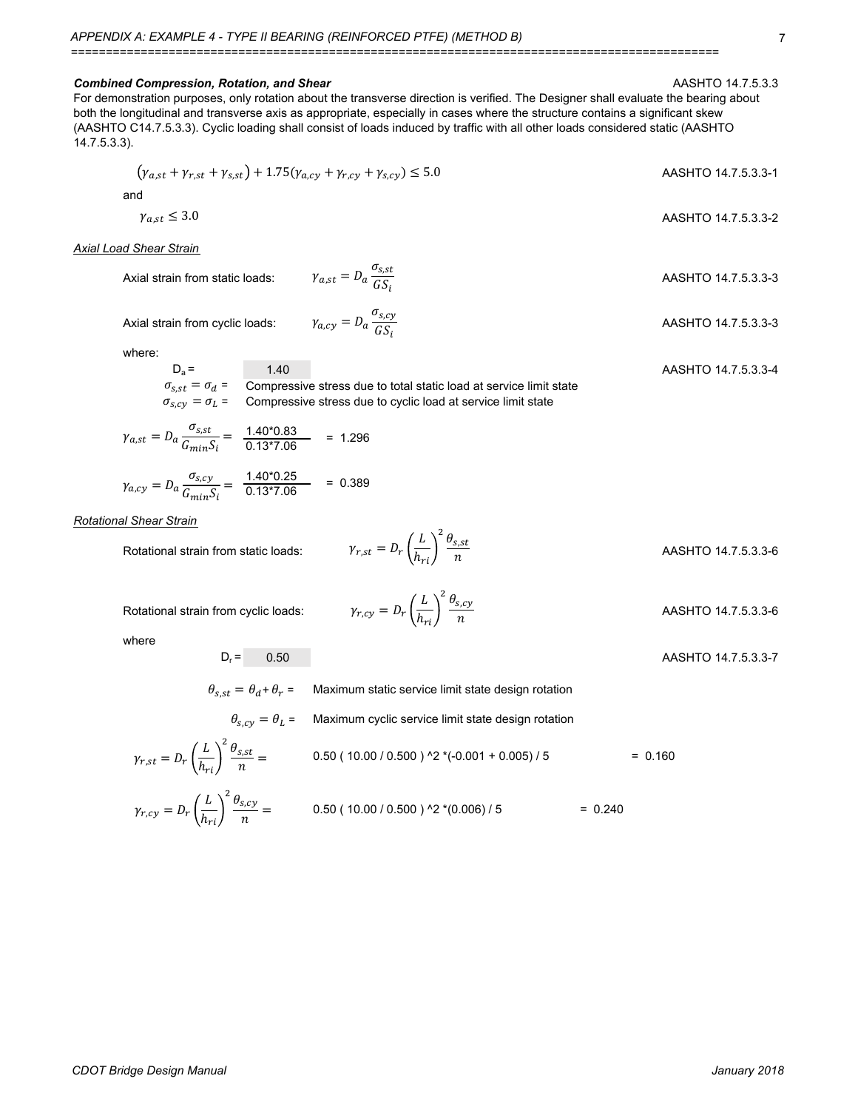$\gamma_{a, cy} = D_a \frac{\sigma_{s, cy}}{c s}$ 

 $\mathit{GS}_i$ 

#### **Combined Compression, Rotation, and Shear** ABSHTO 14.7.5.3.3

For demonstration purposes, only rotation about the transverse direction is verified. The Designer shall evaluate the bearing about both the longitudinal and transverse axis as appropriate, especially in cases where the structure contains a significant skew (AASHTO C14.7.5.3.3). Cyclic loading shall consist of loads induced by traffic with all other loads considered static (AASHTO 14.7.5.3.3).

$$
(\gamma_{a,st} + \gamma_{r,st} + \gamma_{s,st}) + 1.75(\gamma_{a,cy} + \gamma_{r,cy} + \gamma_{s,cy}) \le 5.0
$$
 AASHTO 14.7.5.3.3-1  
and  

$$
\gamma_{a,st} \le 3.0
$$
 AASHTO 14.7.5.3.3-2

*Axial Load Shear Strain*

Axial strain from static loads:  $\gamma_{a,st} = D_a \frac{E_a}{C_c}$  AASHTO 14.7.5.3.3-3  $\gamma_{a,st} = D_a \frac{\sigma_{s,st}}{c s}$  $GS_i$ 

Axial strain from cyclic loads:  $\gamma_{a.cv} = D_a \frac{v_{s,cv}}{c c}$  AASHTO 14.7.5.3.3-3

where:

$$
D_a = 1.40
$$
 AASHTO 14.7.5.3.3-4  
\n
$$
\sigma_{s,st} = \sigma_d =
$$
 Compressive stress due to total static load at service limit state  
\n
$$
\sigma_{s,cy} = \sigma_L =
$$
 Compressive stress due to cyclic load at service limit state

$$
\gamma_{a,st} = D_a \frac{\sigma_{s,st}}{G_{min} S_i} = \frac{1.40^* 0.83}{0.13^* 7.06} = 1.296
$$

$$
\gamma_{a,cy} = D_a \frac{\sigma_{s,cy}}{G_{min} S_i} = \frac{1.40^* 0.25}{0.13^* 7.06} = 0.389
$$

*Rotational Shear Strain*

Rotational strain from static loads:  $\gamma$ 

$$
\gamma_{r,st} = D_r \left(\frac{L}{h_{ri}}\right)^2 \frac{\theta_{s,st}}{n}
$$
 AASHTO 14.7.5.3.3-6

Rotational strain from cyclic loads:  $\gamma_{r\text{cv}} = D_r\left(\frac{1}{r}\right)$   $\frac{S_{s\text{cv}}}{S_{s\text{cv}}}$  AASHTO 14.7.5.3.3-6

where

 $\gamma_{r, st}$ 

$$
D_r = 0.50
$$
 **AASHTO 14.7.5.3.3-7**

 $\theta_{s,st} = \theta_d + \theta_r$  = Maximum static service limit state design rotation

 $\gamma_{r, cy} = D_r \left(\frac{L}{h}\right)$ 

 $h_{ri}$ 

<sup>2</sup> $\theta_{s,cy}$ n

$$
\theta_{s,cy} = \theta_L = \text{Maximum cyclic service limit state design rotation}
$$
  
=  $D_r \left(\frac{L}{h_{ri}}\right)^2 \frac{\theta_{s,st}}{n} = 0.50 (10.00 / 0.500)^2 \cdot (0.001 + 0.005) / 5 = 0.160$ 

$$
\gamma_{r,cy} = D_r \left(\frac{L}{h_{ri}}\right)^2 \frac{\theta_{s,cy}}{n} = 0.50 (10.00 / 0.500 )^{2} (0.006) / 5 = 0.240
$$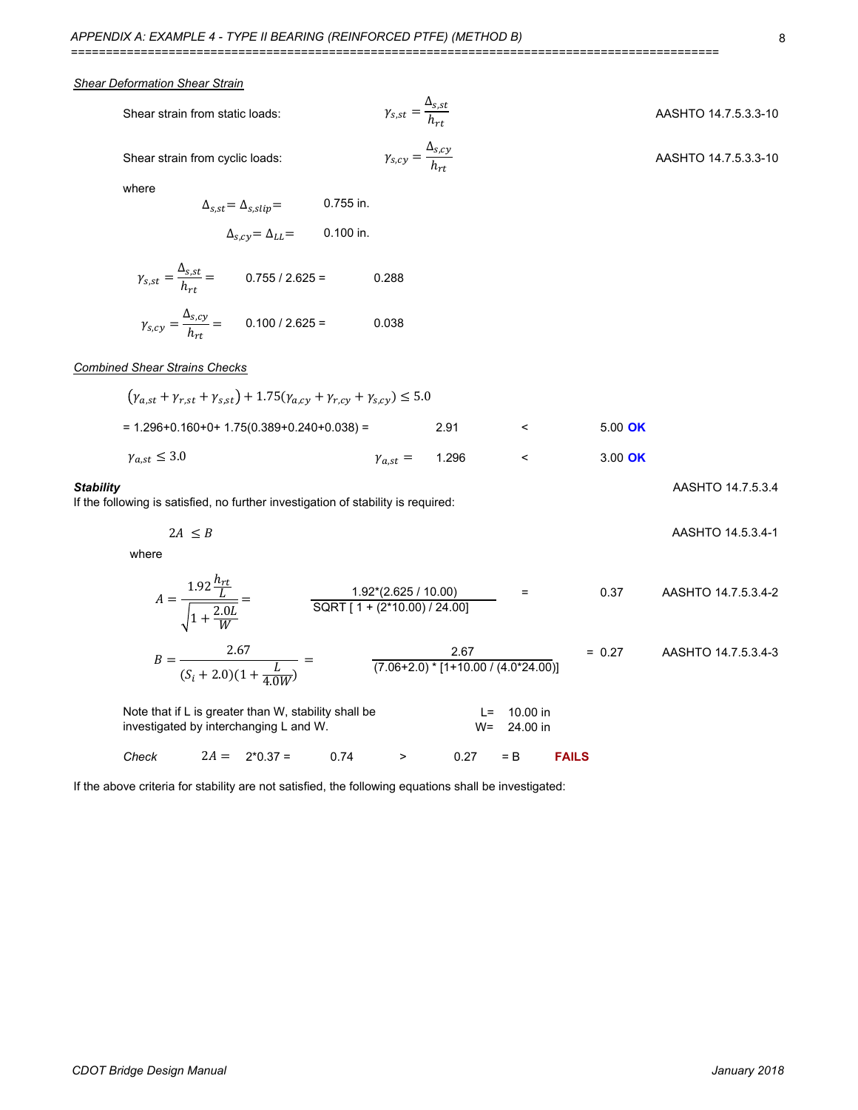#### *Shear Deformation Shear Strain*

| Shear strain from static loads:              | $\gamma_{s,st}=\frac{\Delta_{s,st}}{h_{rt}}$   | AASHTO 14.7.5.3.3-10 |
|----------------------------------------------|------------------------------------------------|----------------------|
| Shear strain from cyclic loads:              | $\gamma_{s,cy} = \frac{\Delta_{s,cy}}{h_{rt}}$ | AASHTO 14.7.5.3.3-10 |
| where<br>$\Delta_{s,st} = \Delta_{s,slip} =$ | $0.755$ in.                                    |                      |

$$
\gamma_{s,st} = \frac{\Delta_{s,st}}{h_{rt}} = 0.755 / 2.625 = 0.288
$$

 $\Delta_{s,cy} = \Delta_{LL} =$  0.100 in.

$$
\gamma_{s,cy} = \frac{\Delta_{s,cy}}{h_{rt}} = 0.100 / 2.625 = 0.038
$$

#### *Combined Shear Strains Checks*

| $(\gamma_{a,st} + \gamma_{r,st} + \gamma_{s,st}) + 1.75(\gamma_{a,cy} + \gamma_{r,cy} + \gamma_{s,cy}) \le 5.0$ |                         |      |  |         |  |  |  |  |  |  |  |
|-----------------------------------------------------------------------------------------------------------------|-------------------------|------|--|---------|--|--|--|--|--|--|--|
| $= 1.296 + 0.160 + 0 + 1.75(0.389 + 0.240 + 0.038) =$                                                           |                         | 2.91 |  | 5.00 OK |  |  |  |  |  |  |  |
| $\gamma_{a,st} \leq 3.0$                                                                                        | $\gamma_{a,st} = 1.296$ |      |  | 3.00 OK |  |  |  |  |  |  |  |

#### **Stability** AASHTO 14.7.5.3.4

If the following is satisfied, no further investigation of stability is required:

AASHTO 14.5.3.4-1  $2A \leq B$ 

where

$$
A = \frac{1.92 \frac{h_{rt}}{L}}{\sqrt{1 + \frac{2.0L}{W}}} = \frac{1.92*(2.625 / 10.00)}{SQRT[1 + (2*10.00) / 24.00]}
$$
 = 0.37 AASHTO 14.7.5.3.4-2  
\n
$$
B = \frac{2.67}{(S_i + 2.0)(1 + \frac{L}{4.0W})} = \frac{2.67}{(7.06 + 2.0) * [1 + 10.00 / (4.0 * 24.00)]}
$$
 = 0.27 AASHTO 14.7.5.3.4-3  
\nNote that if L is greater than W, stability shall be  
\ninvestigated by interchanging L and W.  
\nCheck 2A = 2\*0.37 = 0.74 > 0.27 = B **FAILS**

If the above criteria for stability are not satisfied, the following equations shall be investigated: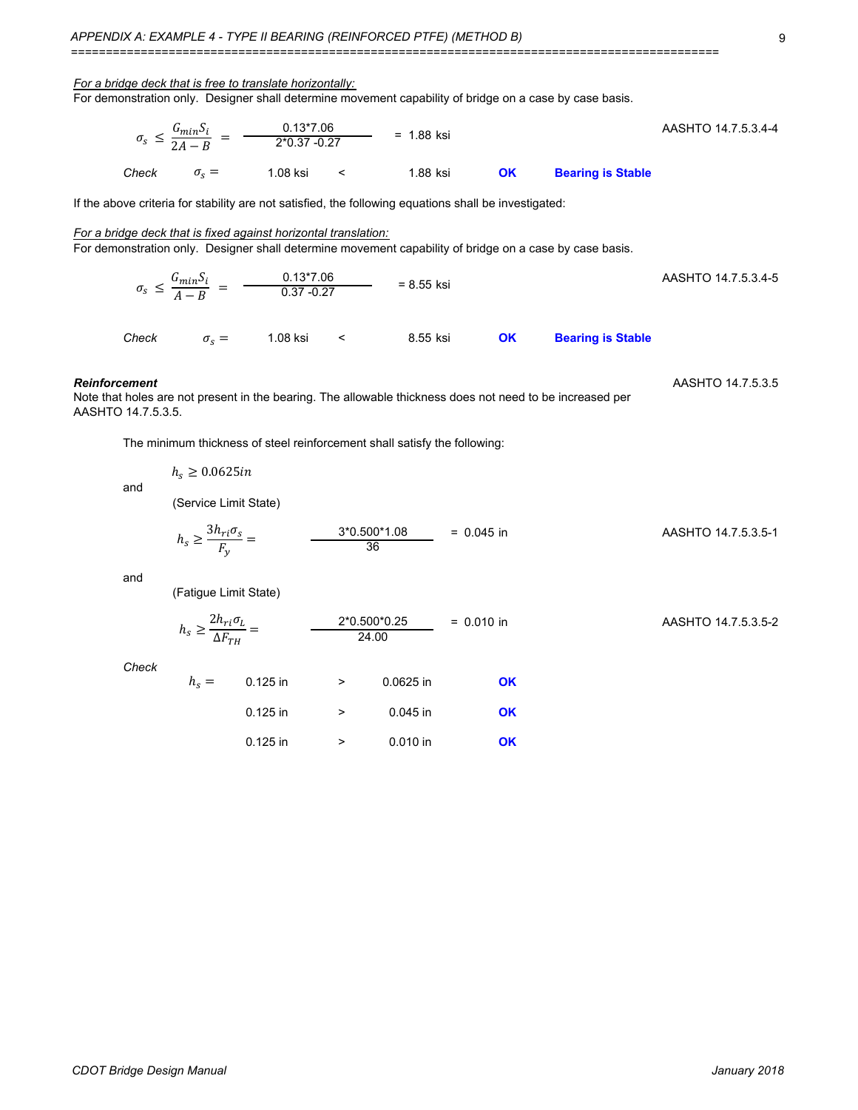| APPENDIX A: EXAMPLE 4 - TYPE II BEARING (REINFORCED PTFE) (METHOD B)                                                                                                         | 9     |                             |                                                                                        |                                           |                     |              |           |                          |                     |  |  |  |
|------------------------------------------------------------------------------------------------------------------------------------------------------------------------------|-------|-----------------------------|----------------------------------------------------------------------------------------|-------------------------------------------|---------------------|--------------|-----------|--------------------------|---------------------|--|--|--|
| For a bridge deck that is free to translate horizontally:<br>For demonstration only. Designer shall determine movement capability of bridge on a case by case basis.         |       |                             |                                                                                        |                                           |                     |              |           |                          |                     |  |  |  |
| $\sigma_s \leq \frac{G_{min} S_i}{2.4 - R} = \frac{0.13 \times 7.06}{2 \times 0.37 - 0.27}$ = 1.88 ksi                                                                       |       |                             |                                                                                        |                                           | AASHTO 14.7.5.3.4-4 |              |           |                          |                     |  |  |  |
|                                                                                                                                                                              | Check |                             | $\sigma_s = 1.08$ ksi                                                                  | $\sim$ $\sim$ $\sim$ $\sim$ $\sim$ $\sim$ | 1.88 ksi            |              | OK        | <b>Bearing is Stable</b> |                     |  |  |  |
| If the above criteria for stability are not satisfied, the following equations shall be investigated:                                                                        |       |                             |                                                                                        |                                           |                     |              |           |                          |                     |  |  |  |
| For a bridge deck that is fixed against horizontal translation:<br>For demonstration only. Designer shall determine movement capability of bridge on a case by case basis.   |       |                             |                                                                                        |                                           |                     |              |           |                          |                     |  |  |  |
|                                                                                                                                                                              |       |                             | $\sigma_s \leq \frac{G_{min} S_i}{4 - R} = \frac{0.13 * 7.06}{0.37 - 0.27} = 8.55$ ksi |                                           |                     |              |           |                          | AASHTO 14.7.5.3.4-5 |  |  |  |
|                                                                                                                                                                              | Check |                             | $\sigma_{s} = 1.08 \text{ ksi}$ < 8.55 ksi                                             |                                           |                     |              | OK        | <b>Bearing is Stable</b> |                     |  |  |  |
| AASHTO 14.7.5.3.5<br><b>Reinforcement</b><br>Note that holes are not present in the bearing. The allowable thickness does not need to be increased per<br>AASHTO 14.7.5.3.5. |       |                             |                                                                                        |                                           |                     |              |           |                          |                     |  |  |  |
|                                                                                                                                                                              |       |                             | The minimum thickness of steel reinforcement shall satisfy the following:              |                                           |                     |              |           |                          |                     |  |  |  |
|                                                                                                                                                                              | and   | $h_s \geq 0.0625$ <i>in</i> |                                                                                        |                                           |                     |              |           |                          |                     |  |  |  |
|                                                                                                                                                                              |       | (Service Limit State)       |                                                                                        |                                           |                     |              |           |                          |                     |  |  |  |
|                                                                                                                                                                              |       |                             | $h_s \ge \frac{3h_{ri}\sigma_s}{F_v} = \frac{3*0.500*1.08}{36} = 0.045$ in             |                                           |                     |              |           |                          | AASHTO 14.7.5.3.5-1 |  |  |  |
|                                                                                                                                                                              | and   | (Fatigue Limit State)       |                                                                                        |                                           |                     |              |           |                          |                     |  |  |  |
|                                                                                                                                                                              |       |                             | $h_s \geq \frac{2h_{ri}\sigma_L}{\Delta F_{ru}} =$ $\frac{2*0.500*0.25}{24.00}$        |                                           |                     | $= 0.010$ in |           |                          | AASHTO 14.7.5.3.5-2 |  |  |  |
|                                                                                                                                                                              | Check | $h_s = 0.125$ in            |                                                                                        | $\sim$ $\sim$ $\sim$ $\sim$               | 0.0625 in           |              | <b>OK</b> |                          |                     |  |  |  |
|                                                                                                                                                                              |       |                             | $0.125$ in                                                                             | $\,>\,$                                   | $0.045$ in          |              | <b>OK</b> |                          |                     |  |  |  |

0.125 in > 0.010 in **OK**